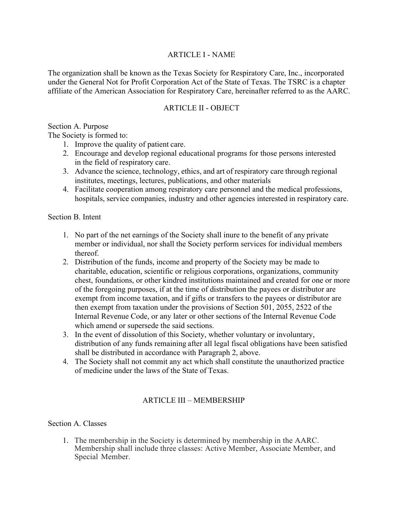## ARTICLE I - NAME

The organization shall be known as the Texas Society for Respiratory Care, Inc., incorporated under the General Not for Profit Corporation Act of the State of Texas. The TSRC is a chapter affiliate of the American Association for Respiratory Care, hereinafter referred to as the AARC.

#### ARTICLE II - OBJECT

#### Section A. Purpose

The Society is formed to:

- 1. Improve the quality of patient care.
- 2. Encourage and develop regional educational programs for those persons interested in the field of respiratory care.
- 3. Advance the science, technology, ethics, and art of respiratory care through regional institutes, meetings, lectures, publications, and other materials
- 4. Facilitate cooperation among respiratory care personnel and the medical professions, hospitals, service companies, industry and other agencies interested in respiratory care.

Section B. Intent

- 1. No part of the net earnings of the Society shall inure to the benefit of any private member or individual, nor shall the Society perform services for individual members thereof.
- 2. Distribution of the funds, income and property of the Society may be made to charitable, education, scientific or religious corporations, organizations, community chest, foundations, or other kindred institutions maintained and created for one or more of the foregoing purposes, if at the time of distribution the payees or distributor are exempt from income taxation, and if gifts or transfers to the payees or distributor are then exempt from taxation under the provisions of Section 501, 2055, 2522 of the Internal Revenue Code, or any later or other sections of the Internal Revenue Code which amend or supersede the said sections.
- 3. In the event of dissolution of this Society, whether voluntary or involuntary, distribution of any funds remaining after all legal fiscal obligations have been satisfied shall be distributed in accordance with Paragraph 2, above.
- 4. The Society shall not commit any act which shall constitute the unauthorized practice of medicine under the laws of the State of Texas.

## ARTICLE III – MEMBERSHIP

#### Section A. Classes

1. The membership in the Society is determined by membership in the AARC. Membership shall include three classes: Active Member, Associate Member, and Special Member.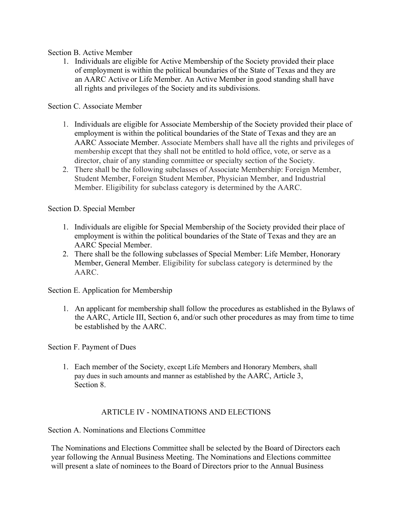Section B. Active Member

1. Individuals are eligible for Active Membership of the Society provided their place of employment is within the political boundaries of the State of Texas and they are an AARC Active or Life Member. An Active Member in good standing shall have all rights and privileges of the Society and its subdivisions.

Section C. Associate Member

- 1. Individuals are eligible for Associate Membership of the Society provided their place of employment is within the political boundaries of the State of Texas and they are an AARC Associate Member. Associate Members shall have all the rights and privileges of membership except that they shall not be entitled to hold office, vote, or serve as a director, chair of any standing committee or specialty section of the Society.
- 2. There shall be the following subclasses of Associate Membership: Foreign Member, Student Member, Foreign Student Member, Physician Member, and Industrial Member. Eligibility for subclass category is determined by the AARC.

Section D. Special Member

- 1. Individuals are eligible for Special Membership of the Society provided their place of employment is within the political boundaries of the State of Texas and they are an AARC Special Member.
- 2. There shall be the following subclasses of Special Member: Life Member, Honorary Member, General Member. Eligibility for subclass category is determined by the AARC.

Section E. Application for Membership

1. An applicant for membership shall follow the procedures as established in the Bylaws of the AARC, Article III, Section 6, and/or such other procedures as may from time to time be established by the AARC.

Section F. Payment of Dues

1. Each member of the Society, except Life Members and Honorary Members, shall pay dues in such amounts and manner as established by the AARC, Article 3, Section 8.

#### ARTICLE IV - NOMINATIONS AND ELECTIONS

Section A. Nominations and Elections Committee

The Nominations and Elections Committee shall be selected by the Board of Directors each year following the Annual Business Meeting. The Nominations and Elections committee will present a slate of nominees to the Board of Directors prior to the Annual Business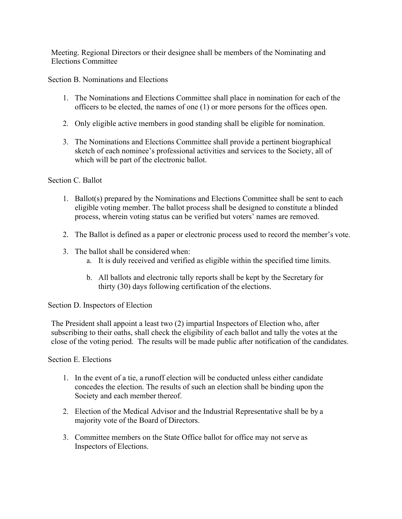Meeting. Regional Directors or their designee shall be members of the Nominating and Elections Committee

Section B. Nominations and Elections

- 1. The Nominations and Elections Committee shall place in nomination for each of the officers to be elected, the names of one (1) or more persons for the offices open.
- 2. Only eligible active members in good standing shall be eligible for nomination.
- 3. The Nominations and Elections Committee shall provide a pertinent biographical sketch of each nominee's professional activities and services to the Society, all of which will be part of the electronic ballot.

#### Section C. Ballot

- 1. Ballot(s) prepared by the Nominations and Elections Committee shall be sent to each eligible voting member. The ballot process shall be designed to constitute a blinded process, wherein voting status can be verified but voters' names are removed.
- 2. The Ballot is defined as a paper or electronic process used to record the member's vote.
- 3. The ballot shall be considered when:
	- a. It is duly received and verified as eligible within the specified time limits.
	- b. All ballots and electronic tally reports shall be kept by the Secretary for thirty (30) days following certification of the elections.

Section D. Inspectors of Election

The President shall appoint a least two (2) impartial Inspectors of Election who, after subscribing to their oaths, shall check the eligibility of each ballot and tally the votes at the close of the voting period. The results will be made public after notification of the candidates.

Section E. Elections

- 1. In the event of a tie, a runoff election will be conducted unless either candidate concedes the election. The results of such an election shall be binding upon the Society and each member thereof.
- 2. Election of the Medical Advisor and the Industrial Representative shall be by a majority vote of the Board of Directors.
- 3. Committee members on the State Office ballot for office may not serve as Inspectors of Elections.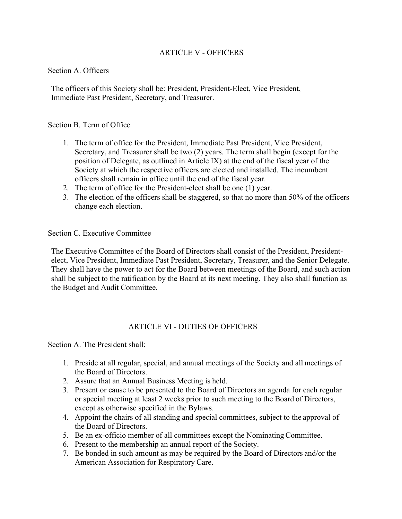## ARTICLE V - OFFICERS

#### Section A. Officers

The officers of this Society shall be: President, President-Elect, Vice President, Immediate Past President, Secretary, and Treasurer.

#### Section B. Term of Office

- 1. The term of office for the President, Immediate Past President, Vice President, Secretary, and Treasurer shall be two (2) years. The term shall begin (except for the position of Delegate, as outlined in Article IX) at the end of the fiscal year of the Society at which the respective officers are elected and installed. The incumbent officers shall remain in office until the end of the fiscal year.
- 2. The term of office for the President-elect shall be one (1) year.
- 3. The election of the officers shall be staggered, so that no more than 50% of the officers change each election.

#### Section C. Executive Committee

The Executive Committee of the Board of Directors shall consist of the President, Presidentelect, Vice President, Immediate Past President, Secretary, Treasurer, and the Senior Delegate. They shall have the power to act for the Board between meetings of the Board, and such action shall be subject to the ratification by the Board at its next meeting. They also shall function as the Budget and Audit Committee.

#### ARTICLE VI - DUTIES OF OFFICERS

Section A. The President shall:

- 1. Preside at all regular, special, and annual meetings of the Society and all meetings of the Board of Directors.
- 2. Assure that an Annual Business Meeting is held.
- 3. Present or cause to be presented to the Board of Directors an agenda for each regular or special meeting at least 2 weeks prior to such meeting to the Board of Directors, except as otherwise specified in the Bylaws.
- 4. Appoint the chairs of all standing and special committees, subject to the approval of the Board of Directors.
- 5. Be an ex-officio member of all committees except the Nominating Committee.
- 6. Present to the membership an annual report of the Society.
- 7. Be bonded in such amount as may be required by the Board of Directors and/or the American Association for Respiratory Care.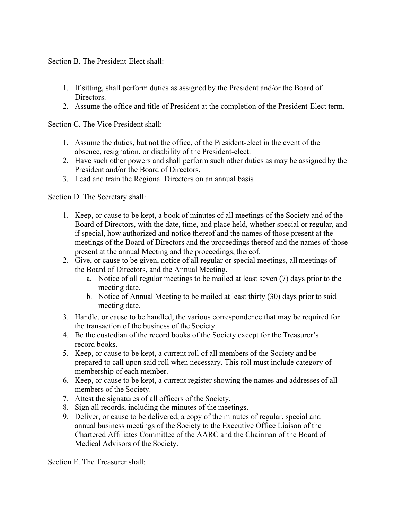Section B. The President-Elect shall:

- 1. If sitting, shall perform duties as assigned by the President and/or the Board of Directors.
- 2. Assume the office and title of President at the completion of the President-Elect term.

Section C. The Vice President shall:

- 1. Assume the duties, but not the office, of the President-elect in the event of the absence, resignation, or disability of the President-elect.
- 2. Have such other powers and shall perform such other duties as may be assigned by the President and/or the Board of Directors.
- 3. Lead and train the Regional Directors on an annual basis

Section D. The Secretary shall:

- 1. Keep, or cause to be kept, a book of minutes of all meetings of the Society and of the Board of Directors, with the date, time, and place held, whether special or regular, and if special, how authorized and notice thereof and the names of those present at the meetings of the Board of Directors and the proceedings thereof and the names of those present at the annual Meeting and the proceedings, thereof.
- 2. Give, or cause to be given, notice of all regular or special meetings, all meetings of the Board of Directors, and the Annual Meeting.
	- a. Notice of all regular meetings to be mailed at least seven (7) days prior to the meeting date.
	- b. Notice of Annual Meeting to be mailed at least thirty (30) days prior to said meeting date.
- 3. Handle, or cause to be handled, the various correspondence that may be required for the transaction of the business of the Society.
- 4. Be the custodian of the record books of the Society except for the Treasurer's record books.
- 5. Keep, or cause to be kept, a current roll of all members of the Society and be prepared to call upon said roll when necessary. This roll must include category of membership of each member.
- 6. Keep, or cause to be kept, a current register showing the names and addresses of all members of the Society.
- 7. Attest the signatures of all officers of the Society.
- 8. Sign all records, including the minutes of the meetings.
- 9. Deliver, or cause to be delivered, a copy of the minutes of regular, special and annual business meetings of the Society to the Executive Office Liaison of the Chartered Affiliates Committee of the AARC and the Chairman of the Board of Medical Advisors of the Society.

Section E. The Treasurer shall: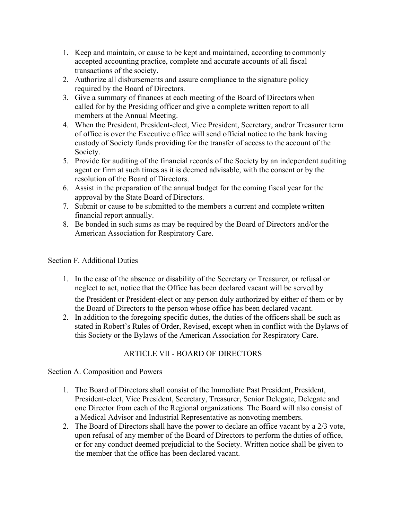- 1. Keep and maintain, or cause to be kept and maintained, according to commonly accepted accounting practice, complete and accurate accounts of all fiscal transactions of the society.
- 2. Authorize all disbursements and assure compliance to the signature policy required by the Board of Directors.
- 3. Give a summary of finances at each meeting of the Board of Directors when called for by the Presiding officer and give a complete written report to all members at the Annual Meeting.
- 4. When the President, President-elect, Vice President, Secretary, and/or Treasurer term of office is over the Executive office will send official notice to the bank having custody of Society funds providing for the transfer of access to the account of the Society.
- 5. Provide for auditing of the financial records of the Society by an independent auditing agent or firm at such times as it is deemed advisable, with the consent or by the resolution of the Board of Directors.
- 6. Assist in the preparation of the annual budget for the coming fiscal year for the approval by the State Board of Directors.
- 7. Submit or cause to be submitted to the members a current and complete written financial report annually.
- 8. Be bonded in such sums as may be required by the Board of Directors and/or the American Association for Respiratory Care.

## Section F. Additional Duties

- 1. In the case of the absence or disability of the Secretary or Treasurer, or refusal or neglect to act, notice that the Office has been declared vacant will be served by the President or President-elect or any person duly authorized by either of them or by the Board of Directors to the person whose office has been declared vacant.
- 2. In addition to the foregoing specific duties, the duties of the officers shall be such as stated in Robert's Rules of Order, Revised, except when in conflict with the Bylaws of this Society or the Bylaws of the American Association for Respiratory Care.

# ARTICLE VII - BOARD OF DIRECTORS

Section A. Composition and Powers

- 1. The Board of Directors shall consist of the Immediate Past President, President, President-elect, Vice President, Secretary, Treasurer, Senior Delegate, Delegate and one Director from each of the Regional organizations. The Board will also consist of a Medical Advisor and Industrial Representative as nonvoting members.
- 2. The Board of Directors shall have the power to declare an office vacant by a 2/3 vote, upon refusal of any member of the Board of Directors to perform the duties of office, or for any conduct deemed prejudicial to the Society. Written notice shall be given to the member that the office has been declared vacant.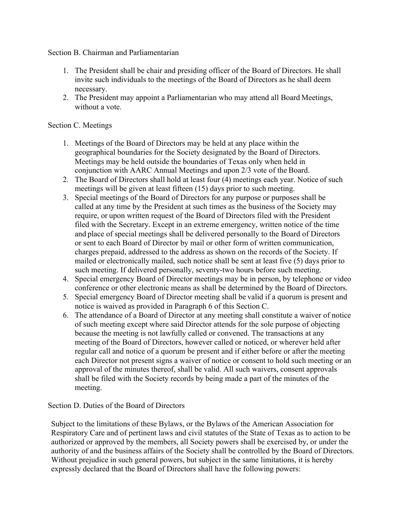Section B. Chairman and Parliamentarian

- 1. The President shall be chair and presiding officer of the Board of Directors. He shall invite such individuals to the meetings of the Board of Directors as he shall deem necessary.
- 2. The President may appoint a Parliamentarian who may attend all Board Meetings, without a vote.

## Section C. Meetings

- 1. Meetings of the Board of Directors may be held at any place within the geographical boundaries for the Society designated by the Board of Directors. Meetings may be held outside the boundaries of Texas only when held in conjunction with AARC Annual Meetings and upon 2/3 vote of the Board.
- 2. The Board of Directors shall hold at least four (4) meetings each year. Notice of such meetings will be given at least fifteen (15) days prior to such meeting.
- 3. Special meetings of the Board of Directors for any purpose or purposes shall be called at any time by the President at such times as the business of the Society may require, or upon written request of the Board of Directors filed with the President filed with the Secretary. Except in an extreme emergency, written notice of the time and place of special meetings shall be delivered personally to the Board of Directors or sent to each Board of Director by mail or other form of written communication, charges prepaid, addressed to the address as shown on the records of the Society. If mailed or electronically mailed, such notice shall be sent at least five (5) days prior to such meeting. If delivered personally, seventy-two hours before such meeting.
- 4. Special emergency Board of Director meetings may be in person, by telephone or video conference or other electronic means as shall be determined by the Board of Directors.
- 5. Special emergency Board of Director meeting shall be valid if a quorum is present and notice is waived as provided in Paragraph 6 of this Section C.
- 6. The attendance of a Board of Director at any meeting shall constitute a waiver of notice of such meeting except where said Director attends for the sole purpose of objecting because the meeting is not lawfully called or convened. The transactions at any meeting of the Board of Directors, however called or noticed, or wherever held after regular call and notice of a quorum be present and if either before or after the meeting each Director not present signs a waiver of notice or consent to hold such meeting or an approval of the minutes thereof, shall be valid. All such waivers, consent approvals shall be filed with the Society records by being made a part of the minutes of the meeting.

Section D. Duties of the Board of Directors

Subject to the limitations of these Bylaws, or the Bylaws of the American Association for Respiratory Care and of pertinent laws and civil statutes of the State of Texas as to action to be authorized or approved by the members, all Society powers shall be exercised by, or under the authority of and the business affairs of the Society shall be controlled by the Board of Directors. Without prejudice in such general powers, but subject in the same limitations, it is hereby expressly declared that the Board of Directors shall have the following powers: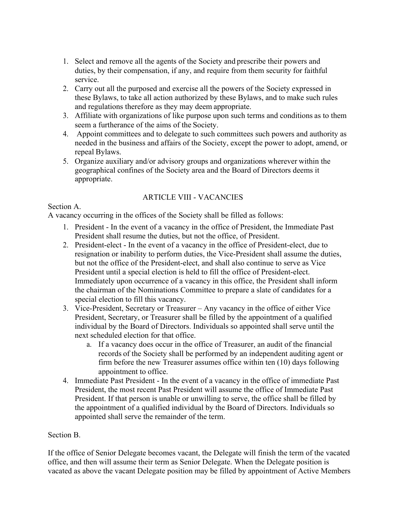- 1. Select and remove all the agents of the Society and prescribe their powers and duties, by their compensation, if any, and require from them security for faithful service.
- 2. Carry out all the purposed and exercise all the powers of the Society expressed in these Bylaws, to take all action authorized by these Bylaws, and to make such rules and regulations therefore as they may deem appropriate.
- 3. Affiliate with organizations of like purpose upon such terms and conditions as to them seem a furtherance of the aims of the Society.
- 4. Appoint committees and to delegate to such committees such powers and authority as needed in the business and affairs of the Society, except the power to adopt, amend, or repeal Bylaws.
- 5. Organize auxiliary and/or advisory groups and organizations wherever within the geographical confines of the Society area and the Board of Directors deems it appropriate.

# ARTICLE VIII - VACANCIES

## Section A.

A vacancy occurring in the offices of the Society shall be filled as follows:

- 1. President In the event of a vacancy in the office of President, the Immediate Past President shall resume the duties, but not the office, of President.
- 2. President-elect In the event of a vacancy in the office of President-elect, due to resignation or inability to perform duties, the Vice-President shall assume the duties, but not the office of the President-elect, and shall also continue to serve as Vice President until a special election is held to fill the office of President-elect. Immediately upon occurrence of a vacancy in this office, the President shall inform the chairman of the Nominations Committee to prepare a slate of candidates for a special election to fill this vacancy.
- 3. Vice-President, Secretary or Treasurer Any vacancy in the office of either Vice President, Secretary, or Treasurer shall be filled by the appointment of a qualified individual by the Board of Directors. Individuals so appointed shall serve until the next scheduled election for that office.
	- a. If a vacancy does occur in the office of Treasurer, an audit of the financial records of the Society shall be performed by an independent auditing agent or firm before the new Treasurer assumes office within ten (10) days following appointment to office.
- 4. Immediate Past President In the event of a vacancy in the office of immediate Past President, the most recent Past President will assume the office of Immediate Past President. If that person is unable or unwilling to serve, the office shall be filled by the appointment of a qualified individual by the Board of Directors. Individuals so appointed shall serve the remainder of the term.

## Section B.

If the office of Senior Delegate becomes vacant, the Delegate will finish the term of the vacated office, and then will assume their term as Senior Delegate. When the Delegate position is vacated as above the vacant Delegate position may be filled by appointment of Active Members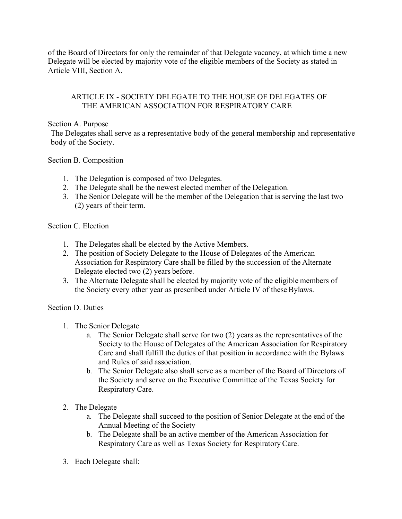of the Board of Directors for only the remainder of that Delegate vacancy, at which time a new Delegate will be elected by majority vote of the eligible members of the Society as stated in Article VIII, Section A.

## ARTICLE IX - SOCIETY DELEGATE TO THE HOUSE OF DELEGATES OF THE AMERICAN ASSOCIATION FOR RESPIRATORY CARE

#### Section A. Purpose

The Delegates shall serve as a representative body of the general membership and representative body of the Society.

## Section B. Composition

- 1. The Delegation is composed of two Delegates.
- 2. The Delegate shall be the newest elected member of the Delegation.
- 3. The Senior Delegate will be the member of the Delegation that is serving the last two (2) years of their term.

## Section C. Election

- 1. The Delegates shall be elected by the Active Members.
- 2. The position of Society Delegate to the House of Delegates of the American Association for Respiratory Care shall be filled by the succession of the Alternate Delegate elected two (2) years before.
- 3. The Alternate Delegate shall be elected by majority vote of the eligible members of the Society every other year as prescribed under Article IV of these Bylaws.

#### Section D. Duties

- 1. The Senior Delegate
	- a. The Senior Delegate shall serve for two (2) years as the representatives of the Society to the House of Delegates of the American Association for Respiratory Care and shall fulfill the duties of that position in accordance with the Bylaws and Rules of said association.
	- b. The Senior Delegate also shall serve as a member of the Board of Directors of the Society and serve on the Executive Committee of the Texas Society for Respiratory Care.
- 2. The Delegate
	- a. The Delegate shall succeed to the position of Senior Delegate at the end of the Annual Meeting of the Society
	- b. The Delegate shall be an active member of the American Association for Respiratory Care as well as Texas Society for Respiratory Care.
- 3. Each Delegate shall: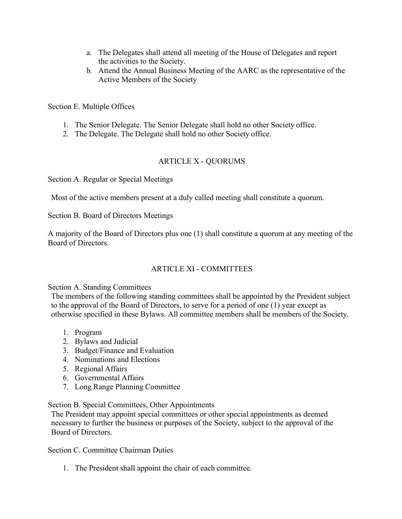- a. The Delegates shall attend all meeting of the House of Delegates and report the activities to the Society.
- b. Attend the Annual Business Meeting of the AARC as the representative of the Active Members of the Society

Section E. Multiple Offices

- 1. The Senior Delegate. The Senior Delegate shall hold no other Society office.
- 2. The Delegate. The Delegate shall hold no other Society office.

#### ARTICLE X - QUORUMS

Section A. Regular or Special Meetings

Most of the active members present at a duly called meeting shall constitute a quorum.

Section B. Board of Directors Meetings

A majority of the Board of Directors plus one (1) shall constitute a quorum at any meeting of the Board of Directors.

#### ARTICLE XI - COMMITTEES

Section A. Standing Committees

The members of the following standing committees shall be appointed by the President subject to the approval of the Board of Directors, to serve for a period of one (1) year except as otherwise specified in these Bylaws. All committee members shall be members of the Society.

- 1. Program
- 2. Bylaws and Judicial
- 3. Budget/Finance and Evaluation
- 4. Nominations and Elections
- 5. Regional Affairs
- 6. Governmental Affairs
- 7. Long Range Planning Committee

#### Section B. Special Committees, Other Appointments

The President may appoint special committees or other special appointments as deemed necessary to further the business or purposes of the Society, subject to the approval of the Board of Directors.

Section C. Committee Chairman Duties

1. The President shall appoint the chair of each committee.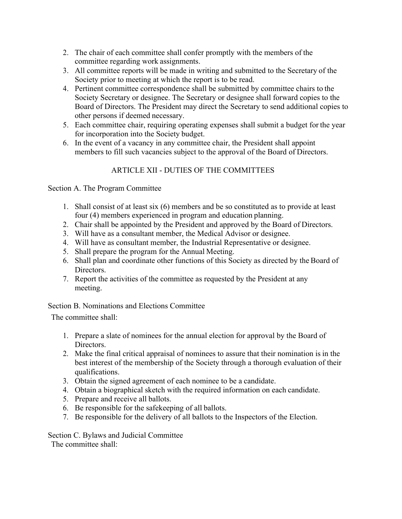- 2. The chair of each committee shall confer promptly with the members of the committee regarding work assignments.
- 3. All committee reports will be made in writing and submitted to the Secretary of the Society prior to meeting at which the report is to be read.
- 4. Pertinent committee correspondence shall be submitted by committee chairs to the Society Secretary or designee. The Secretary or designee shall forward copies to the Board of Directors. The President may direct the Secretary to send additional copies to other persons if deemed necessary.
- 5. Each committee chair, requiring operating expenses shall submit a budget for the year for incorporation into the Society budget.
- 6. In the event of a vacancy in any committee chair, the President shall appoint members to fill such vacancies subject to the approval of the Board of Directors.

# ARTICLE XII - DUTIES OF THE COMMITTEES

Section A. The Program Committee

- 1. Shall consist of at least six (6) members and be so constituted as to provide at least four (4) members experienced in program and education planning.
- 2. Chair shall be appointed by the President and approved by the Board of Directors.
- 3. Will have as a consultant member, the Medical Advisor or designee.
- 4. Will have as consultant member, the Industrial Representative or designee.
- 5. Shall prepare the program for the Annual Meeting.
- 6. Shall plan and coordinate other functions of this Society as directed by the Board of Directors.
- 7. Report the activities of the committee as requested by the President at any meeting.

Section B. Nominations and Elections Committee

The committee shall:

- 1. Prepare a slate of nominees for the annual election for approval by the Board of Directors.
- 2. Make the final critical appraisal of nominees to assure that their nomination is in the best interest of the membership of the Society through a thorough evaluation of their qualifications.
- 3. Obtain the signed agreement of each nominee to be a candidate.
- 4. Obtain a biographical sketch with the required information on each candidate.
- 5. Prepare and receive all ballots.
- 6. Be responsible for the safekeeping of all ballots.
- 7. Be responsible for the delivery of all ballots to the Inspectors of the Election.

Section C. Bylaws and Judicial Committee

The committee shall: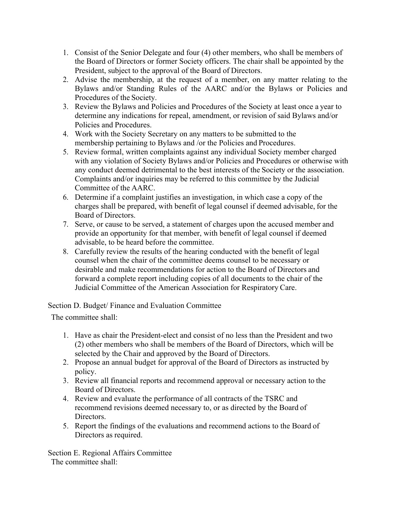- 1. Consist of the Senior Delegate and four (4) other members, who shall be members of the Board of Directors or former Society officers. The chair shall be appointed by the President, subject to the approval of the Board of Directors.
- 2. Advise the membership, at the request of a member, on any matter relating to the Bylaws and/or Standing Rules of the AARC and/or the Bylaws or Policies and Procedures of the Society.
- 3. Review the Bylaws and Policies and Procedures of the Society at least once a year to determine any indications for repeal, amendment, or revision of said Bylaws and/or Policies and Procedures.
- 4. Work with the Society Secretary on any matters to be submitted to the membership pertaining to Bylaws and /or the Policies and Procedures.
- 5. Review formal, written complaints against any individual Society member charged with any violation of Society Bylaws and/or Policies and Procedures or otherwise with any conduct deemed detrimental to the best interests of the Society or the association. Complaints and/or inquiries may be referred to this committee by the Judicial Committee of the AARC.
- 6. Determine if a complaint justifies an investigation, in which case a copy of the charges shall be prepared, with benefit of legal counsel if deemed advisable, for the Board of Directors.
- 7. Serve, or cause to be served, a statement of charges upon the accused member and provide an opportunity for that member, with benefit of legal counsel if deemed advisable, to be heard before the committee.
- 8. Carefully review the results of the hearing conducted with the benefit of legal counsel when the chair of the committee deems counsel to be necessary or desirable and make recommendations for action to the Board of Directors and forward a complete report including copies of all documents to the chair of the Judicial Committee of the American Association for Respiratory Care.

Section D. Budget/ Finance and Evaluation Committee

The committee shall:

- 1. Have as chair the President-elect and consist of no less than the President and two (2) other members who shall be members of the Board of Directors, which will be selected by the Chair and approved by the Board of Directors.
- 2. Propose an annual budget for approval of the Board of Directors as instructed by policy.
- 3. Review all financial reports and recommend approval or necessary action to the Board of Directors.
- 4. Review and evaluate the performance of all contracts of the TSRC and recommend revisions deemed necessary to, or as directed by the Board of Directors.
- 5. Report the findings of the evaluations and recommend actions to the Board of Directors as required.

Section E. Regional Affairs Committee The committee shall: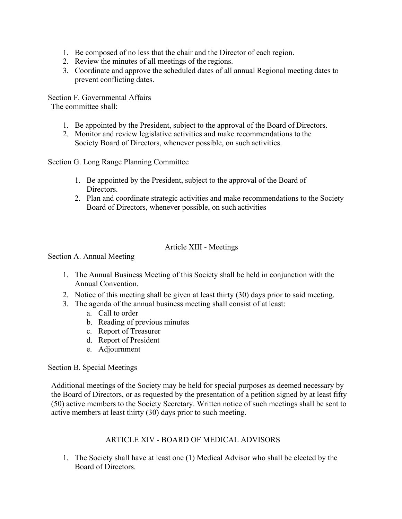- 1. Be composed of no less that the chair and the Director of each region.
- 2. Review the minutes of all meetings of the regions.
- 3. Coordinate and approve the scheduled dates of all annual Regional meeting dates to prevent conflicting dates.

Section F. Governmental Affairs The committee shall:

- 1. Be appointed by the President, subject to the approval of the Board of Directors.
- 2. Monitor and review legislative activities and make recommendations to the Society Board of Directors, whenever possible, on such activities.

Section G. Long Range Planning Committee

- 1. Be appointed by the President, subject to the approval of the Board of Directors.
- 2. Plan and coordinate strategic activities and make recommendations to the Society Board of Directors, whenever possible, on such activities

## Article XIII - Meetings

Section A. Annual Meeting

- 1. The Annual Business Meeting of this Society shall be held in conjunction with the Annual Convention.
- 2. Notice of this meeting shall be given at least thirty (30) days prior to said meeting.
- 3. The agenda of the annual business meeting shall consist of at least:
	- a. Call to order
	- b. Reading of previous minutes
	- c. Report of Treasurer
	- d. Report of President
	- e. Adjournment

Section B. Special Meetings

Additional meetings of the Society may be held for special purposes as deemed necessary by the Board of Directors, or as requested by the presentation of a petition signed by at least fifty (50) active members to the Society Secretary. Written notice of such meetings shall be sent to active members at least thirty (30) days prior to such meeting.

## ARTICLE XIV - BOARD OF MEDICAL ADVISORS

1. The Society shall have at least one (1) Medical Advisor who shall be elected by the Board of Directors.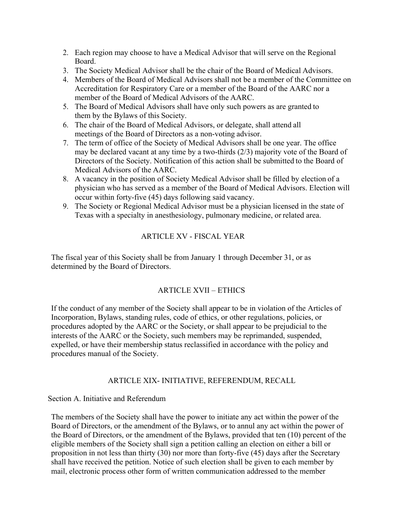- 2. Each region may choose to have a Medical Advisor that will serve on the Regional Board.
- 3. The Society Medical Advisor shall be the chair of the Board of Medical Advisors.
- 4. Members of the Board of Medical Advisors shall not be a member of the Committee on Accreditation for Respiratory Care or a member of the Board of the AARC nor a member of the Board of Medical Advisors of the AARC.
- 5. The Board of Medical Advisors shall have only such powers as are granted to them by the Bylaws of this Society.
- 6. The chair of the Board of Medical Advisors, or delegate, shall attend all meetings of the Board of Directors as a non-voting advisor.
- 7. The term of office of the Society of Medical Advisors shall be one year. The office may be declared vacant at any time by a two-thirds (2/3) majority vote of the Board of Directors of the Society. Notification of this action shall be submitted to the Board of Medical Advisors of the AARC.
- 8. A vacancy in the position of Society Medical Advisor shall be filled by election of a physician who has served as a member of the Board of Medical Advisors. Election will occur within forty-five (45) days following said vacancy.
- 9. The Society or Regional Medical Advisor must be a physician licensed in the state of Texas with a specialty in anesthesiology, pulmonary medicine, or related area.

## ARTICLE XV - FISCAL YEAR

The fiscal year of this Society shall be from January 1 through December 31, or as determined by the Board of Directors.

## ARTICLE XVII – ETHICS

If the conduct of any member of the Society shall appear to be in violation of the Articles of Incorporation, Bylaws, standing rules, code of ethics, or other regulations, policies, or procedures adopted by the AARC or the Society, or shall appear to be prejudicial to the interests of the AARC or the Society, such members may be reprimanded, suspended, expelled, or have their membership status reclassified in accordance with the policy and procedures manual of the Society.

## ARTICLE XIX- INITIATIVE, REFERENDUM, RECALL

Section A. Initiative and Referendum

The members of the Society shall have the power to initiate any act within the power of the Board of Directors, or the amendment of the Bylaws, or to annul any act within the power of the Board of Directors, or the amendment of the Bylaws, provided that ten (10) percent of the eligible members of the Society shall sign a petition calling an election on either a bill or proposition in not less than thirty (30) nor more than forty-five (45) days after the Secretary shall have received the petition. Notice of such election shall be given to each member by mail, electronic process other form of written communication addressed to the member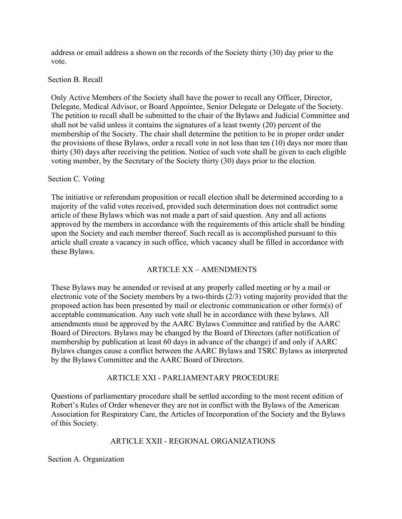address or email address a shown on the records of the Society thirty (30) day prior to the vote.

#### Section B. Recall

Only Active Members of the Society shall have the power to recall any Officer, Director, Delegate, Medical Advisor, or Board Appointee, Senior Delegate or Delegate of the Society. The petition to recall shall be submitted to the chair of the Bylaws and Judicial Committee and shall not be valid unless it contains the signatures of a least twenty (20) percent of the membership of the Society. The chair shall determine the petition to be in proper order under the provisions of these Bylaws, order a recall vote in not less than ten (10) days nor more than thirty (30) days after receiving the petition. Notice of such vote shall be given to each eligible voting member, by the Secretary of the Society thirty (30) days prior to the election.

## Section C. Voting

The initiative or referendum proposition or recall election shall be determined according to a majority of the valid votes received, provided such determination does not contradict some article of these Bylaws which was not made a part of said question. Any and all actions approved by the members in accordance with the requirements of this article shall be binding upon the Society and each member thereof. Such recall as is accomplished pursuant to this article shall create a vacancy in such office, which vacancy shall be filled in accordance with these Bylaws.

## ARTICLE XX – AMENDMENTS

These Bylaws may be amended or revised at any properly called meeting or by a mail or electronic vote of the Society members by a two-thirds (2/3) voting majority provided that the proposed action has been presented by mail or electronic communication or other form(s) of acceptable communication. Any such vote shall be in accordance with these bylaws. All amendments must be approved by the AARC Bylaws Committee and ratified by the AARC Board of Directors. Bylaws may be changed by the Board of Directors (after notification of membership by publication at least 60 days in advance of the change) if and only if AARC Bylaws changes cause a conflict between the AARC Bylaws and TSRC Bylaws as interpreted by the Bylaws Committee and the AARC Board of Directors.

## ARTICLE XXI - PARLIAMENTARY PROCEDURE

Questions of parliamentary procedure shall be settled according to the most recent edition of Robert's Rules of Order whenever they are not in conflict with the Bylaws of the American Association for Respiratory Care, the Articles of Incorporation of the Society and the Bylaws of this Society.

## ARTICLE XXII - REGIONAL ORGANIZATIONS

Section A. Organization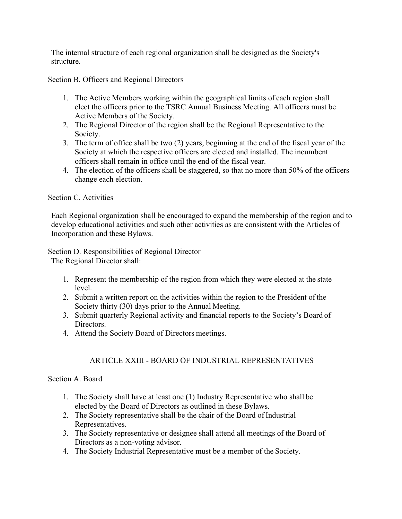The internal structure of each regional organization shall be designed as the Society's structure.

Section B. Officers and Regional Directors

- 1. The Active Members working within the geographical limits of each region shall elect the officers prior to the TSRC Annual Business Meeting. All officers must be Active Members of the Society.
- 2. The Regional Director of the region shall be the Regional Representative to the Society.
- 3. The term of office shall be two (2) years, beginning at the end of the fiscal year of the Society at which the respective officers are elected and installed. The incumbent officers shall remain in office until the end of the fiscal year.
- 4. The election of the officers shall be staggered, so that no more than 50% of the officers change each election.

#### Section C. Activities

Each Regional organization shall be encouraged to expand the membership of the region and to develop educational activities and such other activities as are consistent with the Articles of Incorporation and these Bylaws.

Section D. Responsibilities of Regional Director

The Regional Director shall:

- 1. Represent the membership of the region from which they were elected at the state level.
- 2. Submit a written report on the activities within the region to the President of the Society thirty (30) days prior to the Annual Meeting.
- 3. Submit quarterly Regional activity and financial reports to the Society's Board of Directors.
- 4. Attend the Society Board of Directors meetings.

# ARTICLE XXIII - BOARD OF INDUSTRIAL REPRESENTATIVES

## Section A. Board

- 1. The Society shall have at least one (1) Industry Representative who shall be elected by the Board of Directors as outlined in these Bylaws.
- 2. The Society representative shall be the chair of the Board of Industrial Representatives.
- 3. The Society representative or designee shall attend all meetings of the Board of Directors as a non-voting advisor.
- 4. The Society Industrial Representative must be a member of the Society.